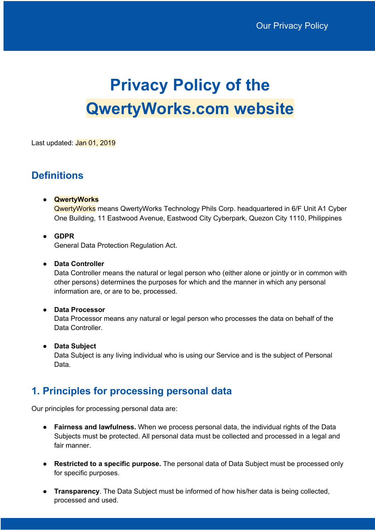# **Privacy Policy of the QwertyWorks.com website**

Last updated: Jan 01, 2019

## **Definitions**

## ● **QwertyWorks**

QwertyWorks means QwertyWorks Technology Phils Corp. headquartered in 6/F Unit A1 Cyber One Building, 11 Eastwood Avenue, Eastwood City Cyberpark, Quezon City 1110, Philippines

## ● **GDPR**

General Data Protection Regulation Act.

#### ● **Data Controller**

Data Controller means the natural or legal person who (either alone or jointly or in common with other persons) determines the purposes for which and the manner in which any personal information are, or are to be, processed.

## ● **Data Processor**

Data Processor means any natural or legal person who processes the data on behalf of the Data Controller.

## ● **Data Subject**

Data Subject is any living individual who is using our Service and is the subject of Personal Data.

## **1. Principles for processing personal data**

Our principles for processing personal data are:

- **Fairness and lawfulness.** When we process personal data, the individual rights of the Data Subjects must be protected. All personal data must be collected and processed in a legal and fair manner.
- **Restricted to a specific purpose.** The personal data of Data Subject must be processed only for specific purposes.
- **Transparency**. The Data Subject must be informed of how his/her data is being collected, processed and used.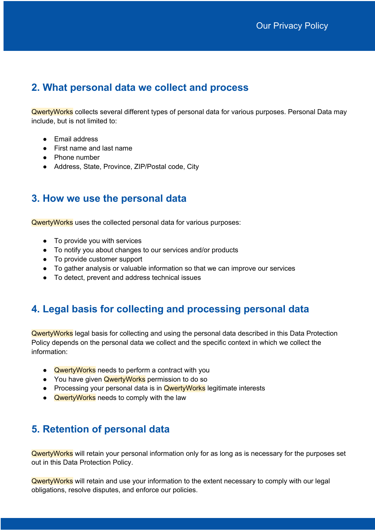# **2. What personal data we collect and process**

QwertyWorks collects several different types of personal data for various purposes. Personal Data may include, but is not limited to:

- Email address
- First name and last name
- Phone number
- Address, State, Province, ZIP/Postal code, City

## **3. How we use the personal data**

QwertyWorks uses the collected personal data for various purposes:

- To provide you with services
- To notify you about changes to our services and/or products
- To provide customer support
- To gather analysis or valuable information so that we can improve our services
- To detect, prevent and address technical issues

# **4. Legal basis for collecting and processing personal data**

QwertyWorks legal basis for collecting and using the personal data described in this Data Protection Policy depends on the personal data we collect and the specific context in which we collect the information:

- QwertyWorks needs to perform a contract with you
- You have given **QwertyWorks** permission to do so
- Processing your personal data is in **QwertyWorks** legitimate interests
- Qwerty Works needs to comply with the law

# **5. Retention of personal data**

QwertyWorks will retain your personal information only for as long as is necessary for the purposes set out in this Data Protection Policy.

QwertyWorks will retain and use your information to the extent necessary to comply with our legal obligations, resolve disputes, and enforce our policies.